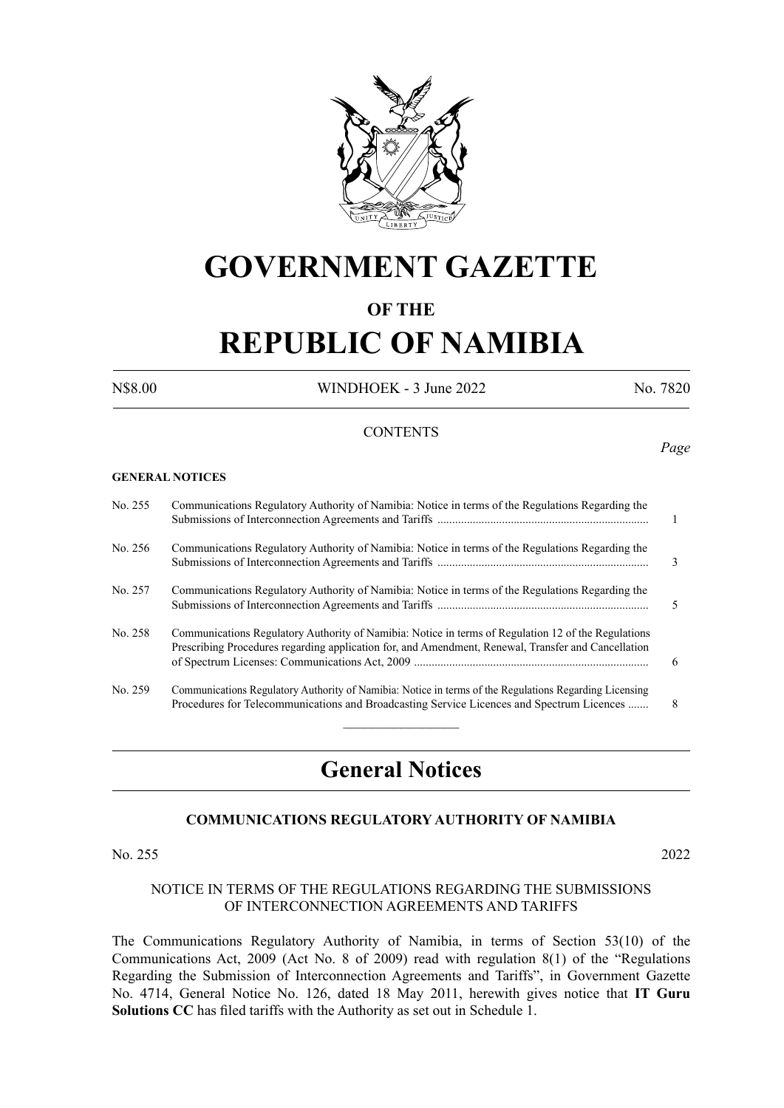

# **GOVERNMENT GAZETTE**

# **OF THE**

# **REPUBLIC OF NAMIBIA**

N\$8.00 WINDHOEK - 3 June 2022 No. 7820

*Page*

#### **CONTENTS**

#### **GENERAL NOTICES**

| No. 255 | Communications Regulatory Authority of Namibia: Notice in terms of the Regulations Regarding the                                                                                                           | $\overline{1}$ |
|---------|------------------------------------------------------------------------------------------------------------------------------------------------------------------------------------------------------------|----------------|
| No. 256 | Communications Regulatory Authority of Namibia: Notice in terms of the Regulations Regarding the                                                                                                           | 3              |
| No. 257 | Communications Regulatory Authority of Namibia: Notice in terms of the Regulations Regarding the                                                                                                           | 5              |
| No. 258 | Communications Regulatory Authority of Namibia: Notice in terms of Regulation 12 of the Regulations<br>Prescribing Procedures regarding application for, and Amendment, Renewal, Transfer and Cancellation | -6             |
| No. 259 | Communications Regulatory Authority of Namibia: Notice in terms of the Regulations Regarding Licensing<br>Procedures for Telecommunications and Broadcasting Service Licences and Spectrum Licences        | 8              |
|         |                                                                                                                                                                                                            |                |

# **General Notices**

#### **COMMUNICATIONS REGULATORY AUTHORITY OF NAMIBIA**

#### No. 255 2022

#### NOTICE IN TERMS OF THE REGULATIONS REGARDING THE SUBMISSIONS OF INTERCONNECTION AGREEMENTS AND TARIFFS

The Communications Regulatory Authority of Namibia, in terms of Section 53(10) of the Communications Act, 2009 (Act No. 8 of 2009) read with regulation 8(1) of the "Regulations Regarding the Submission of Interconnection Agreements and Tariffs", in Government Gazette No. 4714, General Notice No. 126, dated 18 May 2011, herewith gives notice that **IT Guru Solutions CC** has filed tariffs with the Authority as set out in Schedule 1.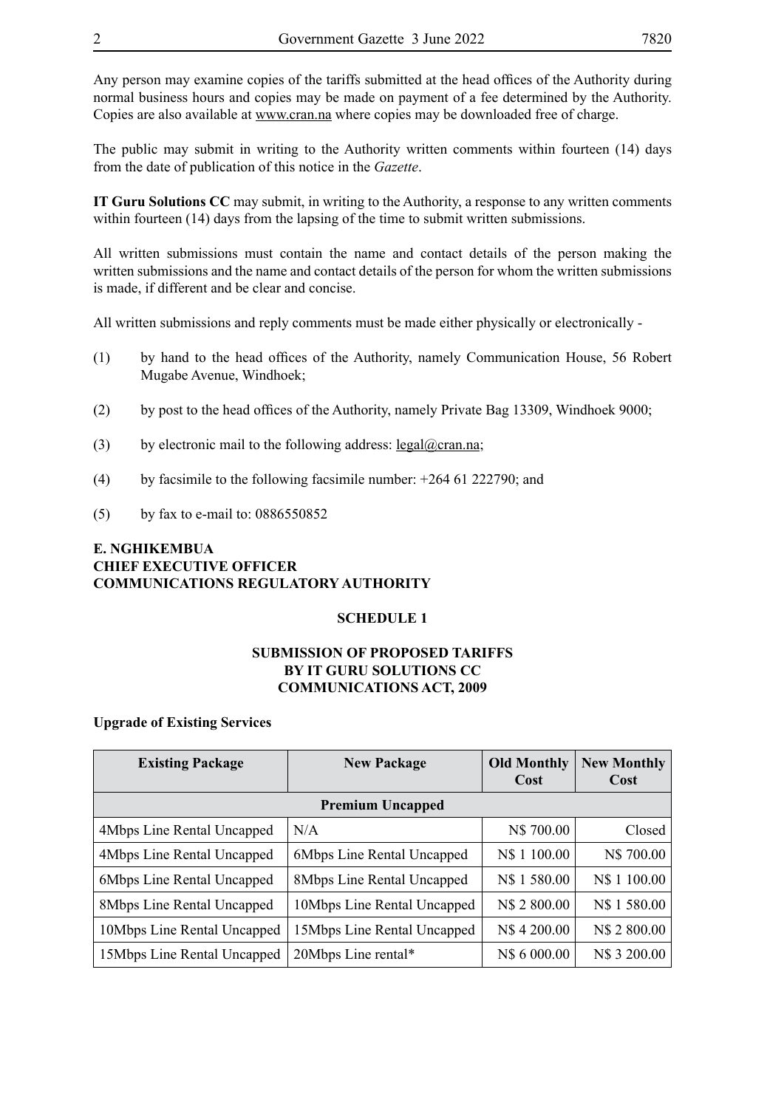Any person may examine copies of the tariffs submitted at the head offices of the Authority during normal business hours and copies may be made on payment of a fee determined by the Authority. Copies are also available at www.cran.na where copies may be downloaded free of charge.

The public may submit in writing to the Authority written comments within fourteen (14) days from the date of publication of this notice in the *Gazette*.

**IT Guru Solutions CC** may submit, in writing to the Authority, a response to any written comments within fourteen (14) days from the lapsing of the time to submit written submissions.

All written submissions must contain the name and contact details of the person making the written submissions and the name and contact details of the person for whom the written submissions is made, if different and be clear and concise.

All written submissions and reply comments must be made either physically or electronically -

- (1) by hand to the head offices of the Authority, namely Communication House, 56 Robert Mugabe Avenue, Windhoek;
- (2) by post to the head offices of the Authority, namely Private Bag 13309, Windhoek 9000;
- (3) by electronic mail to the following address:  $\text{legal}(\partial \text{cran}.\text{na})$ ;
- (4) by facsimile to the following facsimile number: +264 61 222790; and
- (5) by fax to e-mail to: 0886550852

## **E. NGHIKEMBUA CHIEF EXECUTIVE OFFICER COMMUNICATIONS REGULATORY AUTHORITY**

#### **SCHEDULE 1**

#### **SUBMISSION OF PROPOSED TARIFFS BY IT GURU SOLUTIONS CC COMMUNICATIONS ACT, 2009**

#### **Upgrade of Existing Services**

| <b>Existing Package</b>     | <b>New Package</b>                | <b>Old Monthly</b> | <b>New Monthly</b> |
|-----------------------------|-----------------------------------|--------------------|--------------------|
|                             |                                   | Cost               | Cost               |
|                             | <b>Premium Uncapped</b>           |                    |                    |
| 4Mbps Line Rental Uncapped  | N/A                               | N\$ 700.00         | Closed             |
| 4Mbps Line Rental Uncapped  | 6Mbps Line Rental Uncapped        | N\$ 1 100.00       | N\$ 700.00         |
| 6Mbps Line Rental Uncapped  | <b>8Mbps Line Rental Uncapped</b> | N\$ 1 580.00       | N\$ 1 100.00       |
| 8Mbps Line Rental Uncapped  | 10Mbps Line Rental Uncapped       | N\$ 2 800.00       | N\$ 1 580.00       |
| 10Mbps Line Rental Uncapped | 15Mbps Line Rental Uncapped       | N\$4 200.00        | N\$ 2 800.00       |
| 15Mbps Line Rental Uncapped | 20Mbps Line rental*               | N\$ 6 000.00       | N\$ 3 200.00       |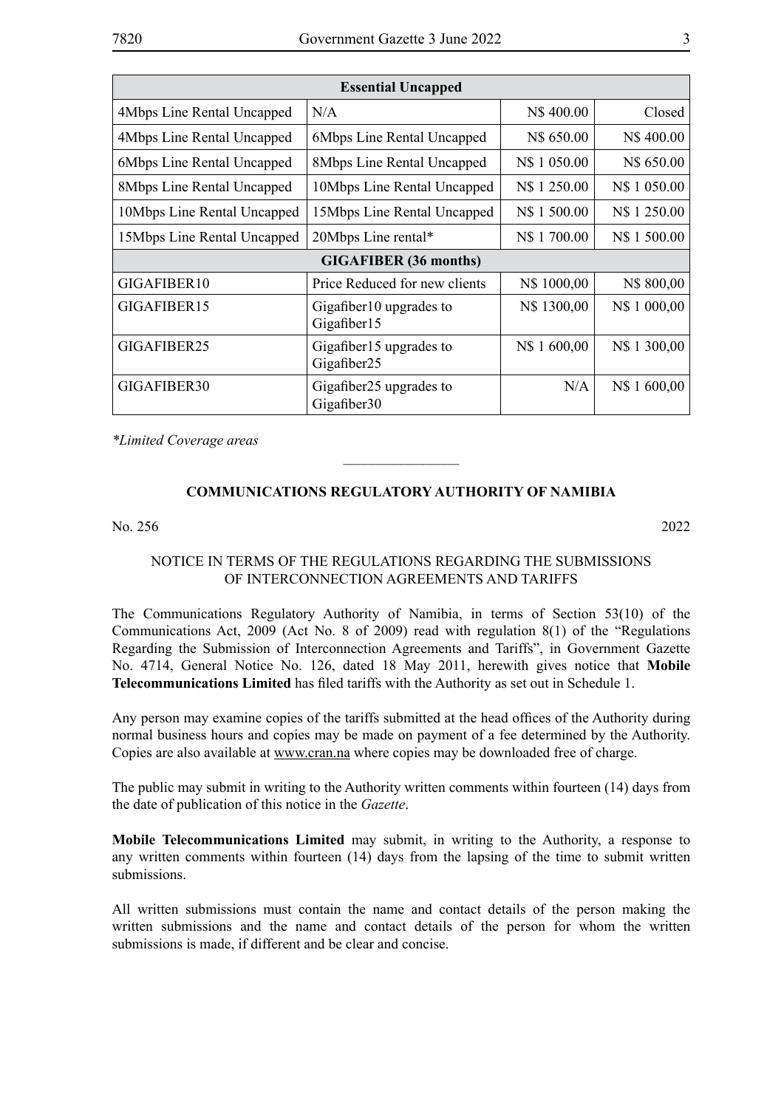| <b>Essential Uncapped</b>   |                                                    |              |              |  |
|-----------------------------|----------------------------------------------------|--------------|--------------|--|
| 4Mbps Line Rental Uncapped  | N/A                                                | N\$400.00    | Closed       |  |
| 4Mbps Line Rental Uncapped  | 6Mbps Line Rental Uncapped                         | N\$ 650.00   | N\$400.00    |  |
| 6Mbps Line Rental Uncapped  | 8Mbps Line Rental Uncapped                         | N\$ 1 050.00 | N\$ 650.00   |  |
| 8Mbps Line Rental Uncapped  | 10Mbps Line Rental Uncapped                        | N\$ 1 250.00 | N\$ 1 050.00 |  |
| 10Mbps Line Rental Uncapped | 15Mbps Line Rental Uncapped                        | N\$ 1 500.00 | N\$ 1 250.00 |  |
| 15Mbps Line Rental Uncapped | 20Mbps Line rental*                                | N\$ 1700.00  | N\$ 1 500.00 |  |
|                             | <b>GIGAFIBER</b> (36 months)                       |              |              |  |
| GIGAFIBER10                 | Price Reduced for new clients                      | N\$ 1000,00  | N\$ 800,00   |  |
| GIGAFIBER15                 | Gigafiber 10 upgrades to<br>Gigafiber15            | N\$ 1300,00  | N\$ 1 000,00 |  |
| GIGAFIBER25                 | Gigafiber15 upgrades to<br>Gigafiber25             | N\$ 1600,00  | N\$ 1 300,00 |  |
| GIGAFIBER30                 | Gigafiber25 upgrades to<br>Gigafiber <sub>30</sub> | N/A          | N\$ 1600,00  |  |

*\*Limited Coverage areas*

# **COMMUNICATIONS REGULATORY AUTHORITY OF NAMIBIA**

 $\frac{1}{2}$ 

No. 256 2022

# NOTICE IN TERMS OF THE REGULATIONS REGARDING THE SUBMISSIONS OF INTERCONNECTION AGREEMENTS AND TARIFFS

The Communications Regulatory Authority of Namibia, in terms of Section 53(10) of the Communications Act, 2009 (Act No. 8 of 2009) read with regulation 8(1) of the "Regulations Regarding the Submission of Interconnection Agreements and Tariffs", in Government Gazette No. 4714, General Notice No. 126, dated 18 May 2011, herewith gives notice that **Mobile Telecommunications Limited** has filed tariffs with the Authority as set out in Schedule 1.

Any person may examine copies of the tariffs submitted at the head offices of the Authority during normal business hours and copies may be made on payment of a fee determined by the Authority. Copies are also available at www.cran.na where copies may be downloaded free of charge.

The public may submit in writing to the Authority written comments within fourteen (14) days from the date of publication of this notice in the *Gazette*.

**Mobile Telecommunications Limited** may submit, in writing to the Authority, a response to any written comments within fourteen (14) days from the lapsing of the time to submit written submissions.

All written submissions must contain the name and contact details of the person making the written submissions and the name and contact details of the person for whom the written submissions is made, if different and be clear and concise.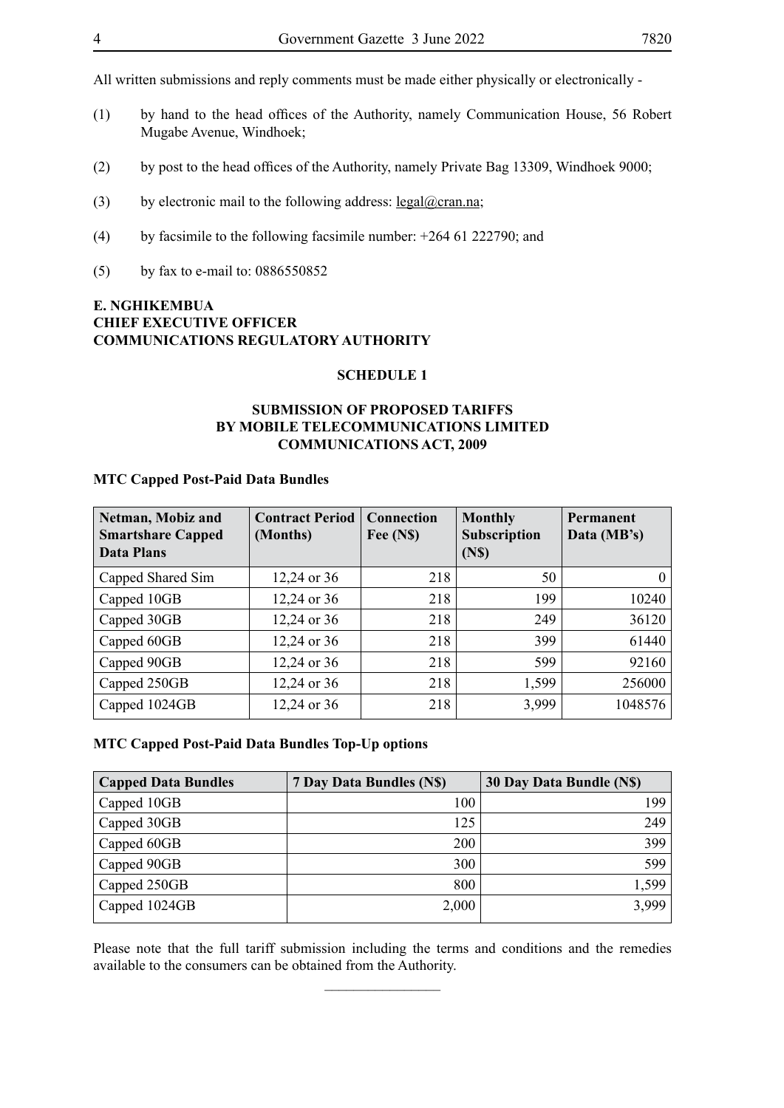All written submissions and reply comments must be made either physically or electronically -

- (1) by hand to the head offices of the Authority, namely Communication House, 56 Robert Mugabe Avenue, Windhoek;
- (2) by post to the head offices of the Authority, namely Private Bag 13309, Windhoek 9000;
- (3) by electronic mail to the following address:  $\text{legal}(\partial \text{cran}.\text{na})$ ;
- (4) by facsimile to the following facsimile number: +264 61 222790; and
- (5) by fax to e-mail to: 0886550852

# **E. NGHIKEMBUA CHIEF EXECUTIVE OFFICER COMMUNICATIONS REGULATORY AUTHORITY**

#### **SCHEDULE 1**

## **SUBMISSION OF PROPOSED TARIFFS BY MOBILE TELECOMMUNICATIONS LIMITED COMMUNICATIONS ACT, 2009**

#### **MTC Capped Post-Paid Data Bundles**

| Netman, Mobiz and<br><b>Smartshare Capped</b><br><b>Data Plans</b> | <b>Contract Period</b><br>(Months) | Connection<br>Fee (N\$) | <b>Monthly</b><br><b>Subscription</b><br>(N <sub>s</sub> ) | Permanent<br>Data (MB's) |
|--------------------------------------------------------------------|------------------------------------|-------------------------|------------------------------------------------------------|--------------------------|
| Capped Shared Sim                                                  | 12,24 or 36                        | 218                     | 50                                                         | $\Omega$                 |
| Capped 10GB                                                        | 12,24 or 36                        | 218                     | 199                                                        | 10240                    |
| Capped 30GB                                                        | 12,24 or 36                        | 218                     | 249                                                        | 36120                    |
| Capped 60GB                                                        | 12,24 or 36                        | 218                     | 399                                                        | 61440                    |
| Capped 90GB                                                        | 12,24 or 36                        | 218                     | 599                                                        | 92160                    |
| Capped 250GB                                                       | 12,24 or 36                        | 218                     | 1,599                                                      | 256000                   |
| Capped 1024GB                                                      | 12,24 or 36                        | 218                     | 3,999                                                      | 1048576                  |

#### **MTC Capped Post-Paid Data Bundles Top-Up options**

| <b>Capped Data Bundles</b> | 7 Day Data Bundles (N\$) | 30 Day Data Bundle (N\$) |
|----------------------------|--------------------------|--------------------------|
| Capped 10GB                | 100                      | 199                      |
| Capped 30GB                | 125                      | 249                      |
| Capped 60GB                | 200                      | 399                      |
| Capped 90GB                | 300                      | 599                      |
| Capped 250GB               | 800                      | 1,599                    |
| Capped 1024GB              | 2,000                    | 3,999                    |

Please note that the full tariff submission including the terms and conditions and the remedies available to the consumers can be obtained from the Authority.  $\overline{\phantom{a}}$  , where  $\overline{\phantom{a}}$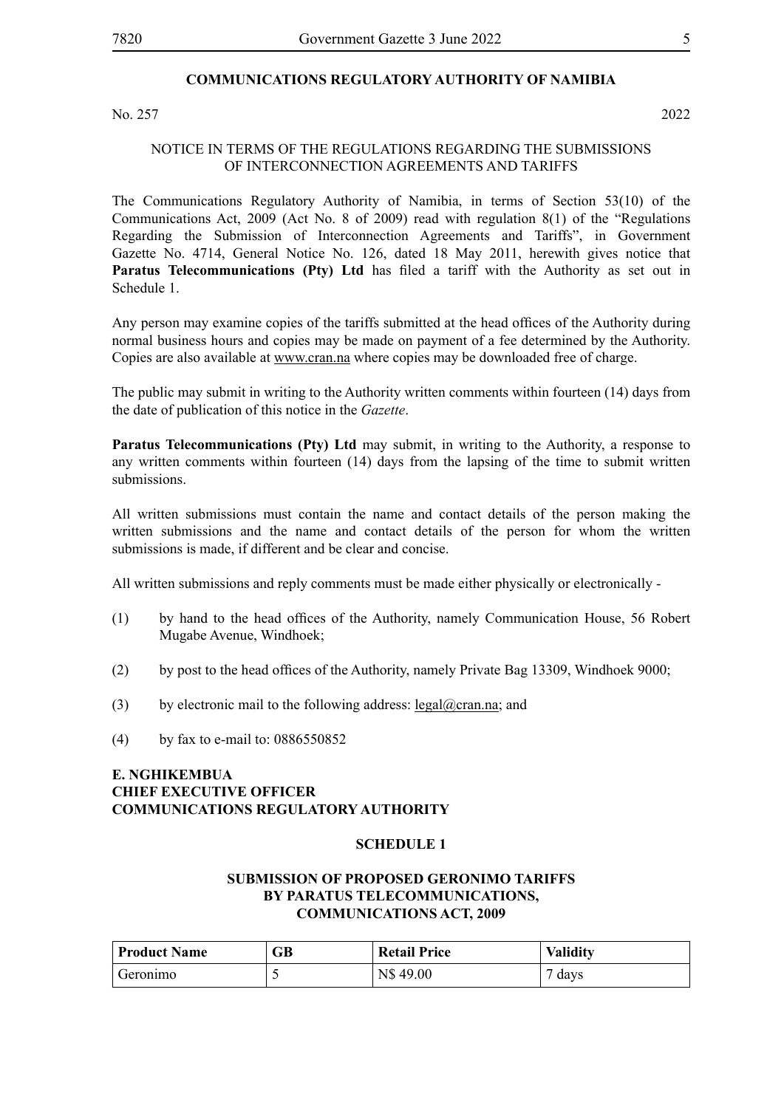## **COMMUNICATIONS REGULATORY AUTHORITY OF NAMIBIA**

No. 257 2022

NOTICE IN TERMS OF THE REGULATIONS REGARDING THE SUBMISSIONS OF INTERCONNECTION AGREEMENTS AND TARIFFS

The Communications Regulatory Authority of Namibia, in terms of Section 53(10) of the Communications Act, 2009 (Act No. 8 of 2009) read with regulation 8(1) of the "Regulations Regarding the Submission of Interconnection Agreements and Tariffs", in Government Gazette No. 4714, General Notice No. 126, dated 18 May 2011, herewith gives notice that Paratus Telecommunications (Pty) Ltd has filed a tariff with the Authority as set out in Schedule 1.

Any person may examine copies of the tariffs submitted at the head offices of the Authority during normal business hours and copies may be made on payment of a fee determined by the Authority. Copies are also available at www.cran.na where copies may be downloaded free of charge.

The public may submit in writing to the Authority written comments within fourteen (14) days from the date of publication of this notice in the *Gazette*.

**Paratus Telecommunications (Pty) Ltd** may submit, in writing to the Authority, a response to any written comments within fourteen (14) days from the lapsing of the time to submit written submissions.

All written submissions must contain the name and contact details of the person making the written submissions and the name and contact details of the person for whom the written submissions is made, if different and be clear and concise.

All written submissions and reply comments must be made either physically or electronically -

- (1) by hand to the head offices of the Authority, namely Communication House, 56 Robert Mugabe Avenue, Windhoek;
- (2) by post to the head offices of the Authority, namely Private Bag 13309, Windhoek 9000;
- (3) by electronic mail to the following address:  $\text{legal}(\partial \text{cran}.\text{na})$ ; and
- (4) by fax to e-mail to: 0886550852

## **E. NGHIKEMBUA CHIEF EXECUTIVE OFFICER COMMUNICATIONS REGULATORY AUTHORITY**

#### **SCHEDULE 1**

#### **SUBMISSION OF PROPOSED GERONIMO TARIFFS BY PARATUS TELECOMMUNICATIONS, COMMUNICATIONS ACT, 2009**

| <b>Product Name</b> | GВ | <b>Retail Price</b> | <b>Validity</b> |
|---------------------|----|---------------------|-----------------|
| Geronimo            |    | N\$49.00            | days            |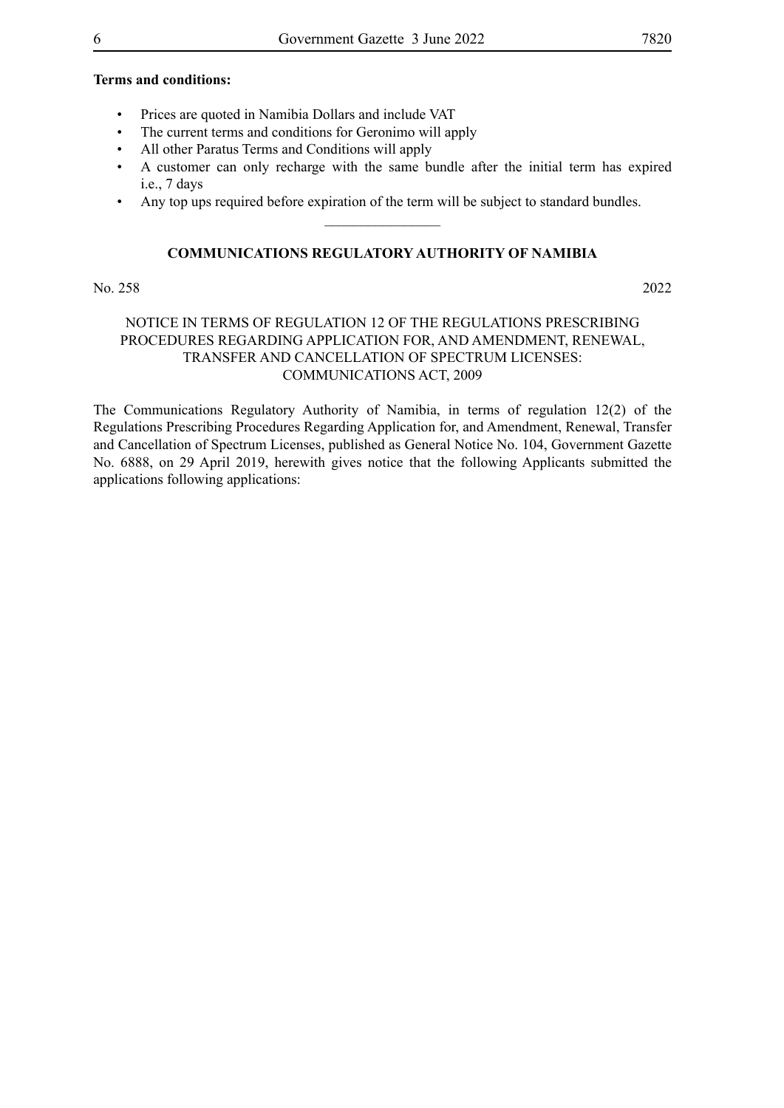#### **Terms and conditions:**

- Prices are quoted in Namibia Dollars and include VAT
- The current terms and conditions for Geronimo will apply
- All other Paratus Terms and Conditions will apply
- A customer can only recharge with the same bundle after the initial term has expired i.e., 7 days
- Any top ups required before expiration of the term will be subject to standard bundles.  $\overline{\phantom{a}}$  , where  $\overline{\phantom{a}}$

#### **COMMUNICATIONS REGULATORY AUTHORITY OF NAMIBIA**

#### No. 258 2022

# NOTICE IN TERMS OF REGULATION 12 OF THE REGULATIONS PRESCRIBING PROCEDURES REGARDING APPLICATION FOR, AND AMENDMENT, RENEWAL, TRANSFER AND CANCELLATION OF SPECTRUM LICENSES: COMMUNICATIONS ACT, 2009

The Communications Regulatory Authority of Namibia, in terms of regulation 12(2) of the Regulations Prescribing Procedures Regarding Application for, and Amendment, Renewal, Transfer and Cancellation of Spectrum Licenses, published as General Notice No. 104, Government Gazette No. 6888, on 29 April 2019, herewith gives notice that the following Applicants submitted the applications following applications: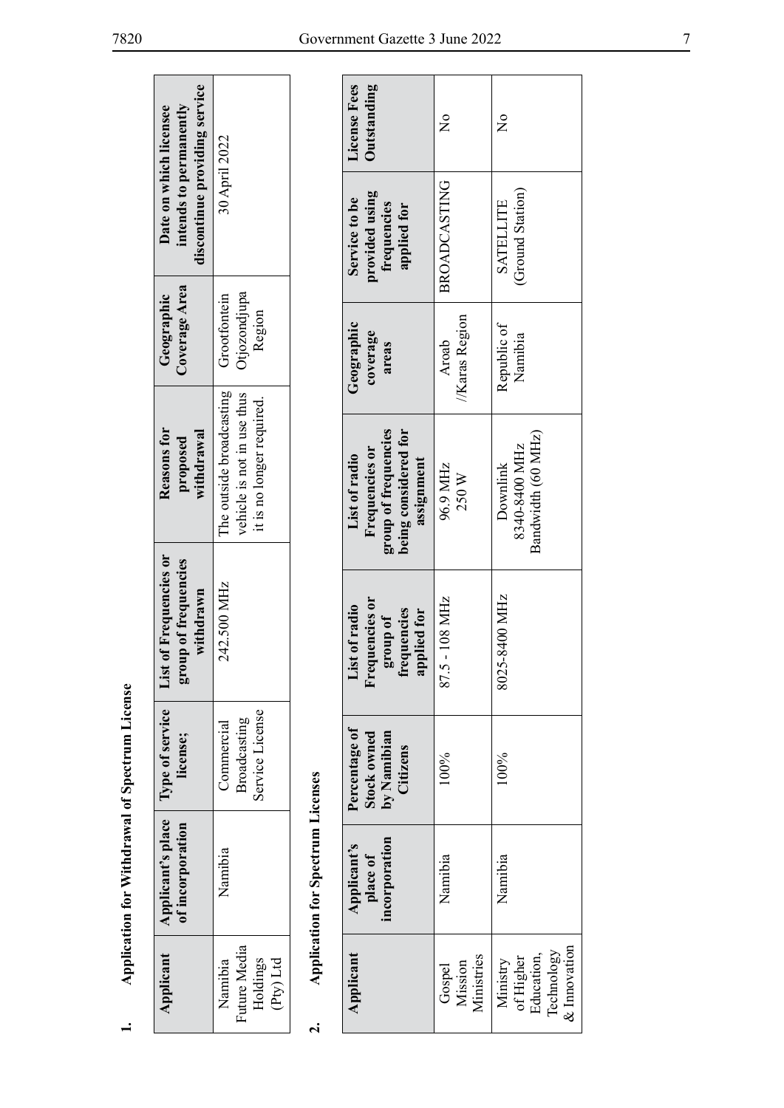| discontinue providing service<br>intends to permanently<br>Date on which licensee | 30 April 2022                                                                       |                                          | License Fees<br>Outstanding                             |
|-----------------------------------------------------------------------------------|-------------------------------------------------------------------------------------|------------------------------------------|---------------------------------------------------------|
|                                                                                   |                                                                                     |                                          | provided using<br>Service to be<br>frequencies          |
| Coverage Area<br>Geographic                                                       | Otjozondjupa<br>Grootfontein<br>Region                                              |                                          | Geographic<br>coverage<br>areas                         |
| Reasons for<br>withdrawal<br>proposed                                             | The outside broadcasting<br>vehicle is not in use thus<br>it is no longer required. |                                          | group of frequencies<br>Frequencies or<br>List of radio |
| List of Frequencies or<br>group of frequencies<br>withdrawn                       | 242.500 MHz                                                                         |                                          | Frequencies or<br>List of radio<br>group of             |
| license;                                                                          | Service License<br>Broadcasting<br>Commercial                                       |                                          | Percentage of<br><b>Stock owned</b><br>by Namibian      |
| Applicant's place   Type of service<br>of incorporation                           | Namibia                                                                             | <b>Application for Spectrum Licenses</b> | incorporation<br>Applicant's<br>place of                |
| Applicant                                                                         | Future Media<br>Holdings<br>(Pty) Ltd<br>Namibia                                    |                                          | Applicant                                               |

# $\dot{\mathbf{r}}$

| License Fees<br>Outstanding                                                                   | $\frac{1}{2}$                   | $\frac{1}{2}$                                                        |
|-----------------------------------------------------------------------------------------------|---------------------------------|----------------------------------------------------------------------|
| provided using<br>Service to be<br>frequencies<br>applied for                                 | <b>BROADCASTING</b>             | (Ground Station)<br><b>SATELLITE</b>                                 |
| Geographic<br>coverage<br>areas                                                               | //Karas Region<br>Aroab         | Republic of<br>Namibia                                               |
| group of frequencies<br>being considered for<br>Frequencies or<br>List of radio<br>assignment | 96.9 MHz<br>250W                | Bandwidth (60 MHz)<br>8340-8400 MHz<br>Downlink                      |
| Frequencies or<br>List of radio<br>applied for<br>group of<br>frequencies                     | $-108$ MHz<br>87.5              | 8025-8400 MHz                                                        |
| Percentage of<br>by Namibian<br>Citizens<br><b>Stock owned</b>                                | 100%                            | 100%                                                                 |
| incorporation<br>Applicant's<br>place of                                                      | Namibia                         | Namibia                                                              |
| Applicant                                                                                     | Ministries<br>Gospel<br>Mission | $\&$ Innovation<br>Education,<br>Technology<br>of Higher<br>Ministry |

**1. Application for Withdrawal of Spectrum License**

 $\div$ 

Application for Withdrawal of Spectrum License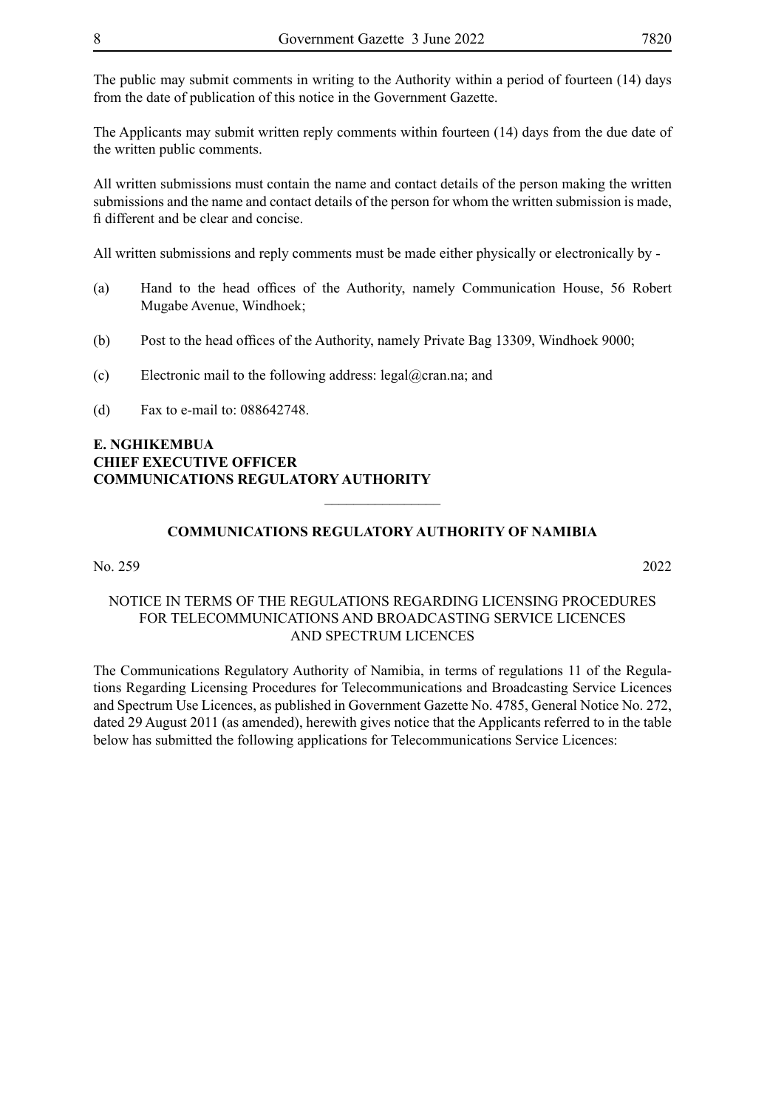The Applicants may submit written reply comments within fourteen (14) days from the due date of the written public comments.

All written submissions must contain the name and contact details of the person making the written submissions and the name and contact details of the person for whom the written submission is made, fi different and be clear and concise.

All written submissions and reply comments must be made either physically or electronically by -

- (a) Hand to the head offices of the Authority, namely Communication House, 56 Robert Mugabe Avenue, Windhoek;
- (b) Post to the head offices of the Authority, namely Private Bag 13309, Windhoek 9000;
- (c) Electronic mail to the following address: legal@cran.na; and
- (d) Fax to e-mail to: 088642748.

# **E. NGHIKEMBUA CHIEF EXECUTIVE OFFICER COMMUNICATIONS REGULATORY AUTHORITY**

# **COMMUNICATIONS REGULATORY AUTHORITY OF NAMIBIA**

 $\frac{1}{2}$ 

#### No. 259 2022

## NOTICE IN TERMS OF THE REGULATIONS REGARDING LICENSING PROCEDURES FOR TELECOMMUNICATIONS AND BROADCASTING SERVICE LICENCES AND SPECTRUM LICENCES

The Communications Regulatory Authority of Namibia, in terms of regulations 11 of the Regulations Regarding Licensing Procedures for Telecommunications and Broadcasting Service Licences and Spectrum Use Licences, as published in Government Gazette No. 4785, General Notice No. 272, dated 29 August 2011 (as amended), herewith gives notice that the Applicants referred to in the table below has submitted the following applications for Telecommunications Service Licences: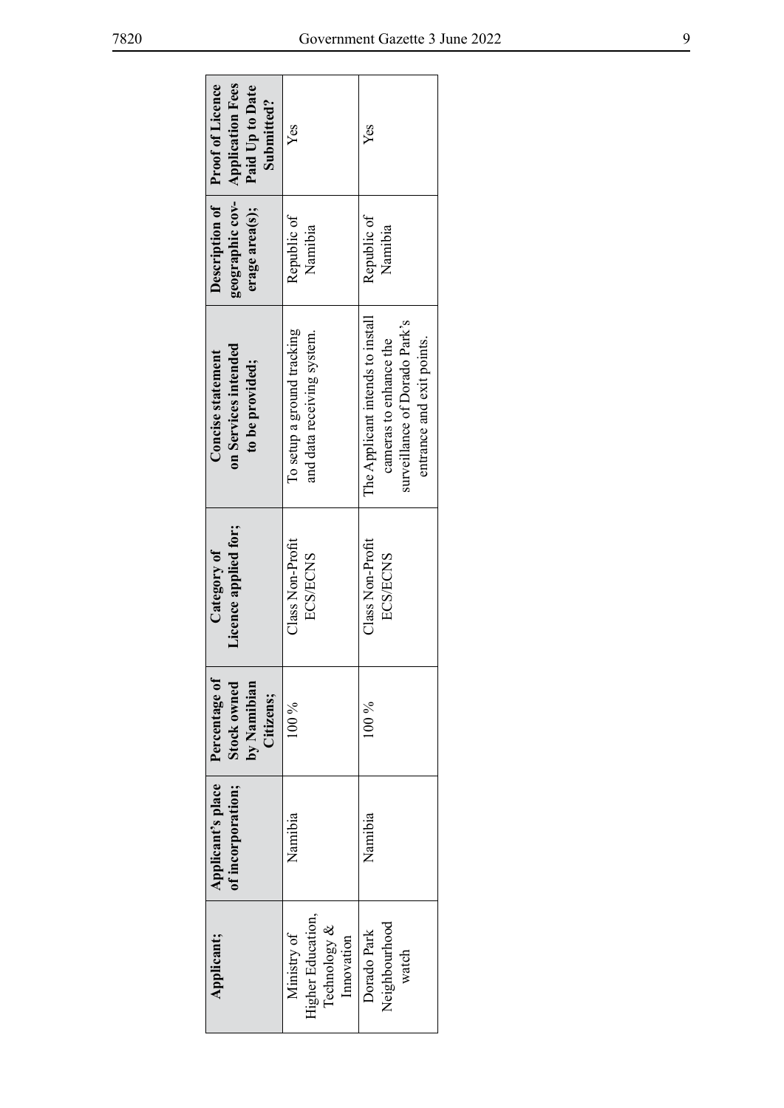٦

| Description of Proof of Licence<br><b>Application Fees</b><br>Paid Up to Date<br>Submitted? | Yes                                                                    | Yes                                                                                                                      |
|---------------------------------------------------------------------------------------------|------------------------------------------------------------------------|--------------------------------------------------------------------------------------------------------------------------|
| geographic cov-<br>erage area(s);                                                           | Republic of<br>Namibia                                                 | Republic of<br>Namibia                                                                                                   |
| on Services intended<br><b>Concise statement</b><br>to be provided;                         | lo setup a ground tracking<br>and data receiving system.               | The Applicant intends to install<br>surveillance of Dorado Park's<br>entrance and exit points.<br>cameras to enhance the |
| Licence applied for;<br>Category of                                                         | Class Non-Profit<br><b>ECS/ECNS</b>                                    | Class Non-Profit<br><b>ECS/ECNS</b>                                                                                      |
| Percentage of<br>Stock owned<br>by Namibian<br>Citizens;                                    | $100\%$                                                                | $00\%$                                                                                                                   |
| Applicant's place<br>of incorporation;                                                      | Namibia                                                                | Namibia                                                                                                                  |
| Applicant;                                                                                  | <b>Higher Education</b> ,<br>Technology &<br>Ministry of<br>Innovation | Neighbourhood<br>Dorado Park<br>watch                                                                                    |